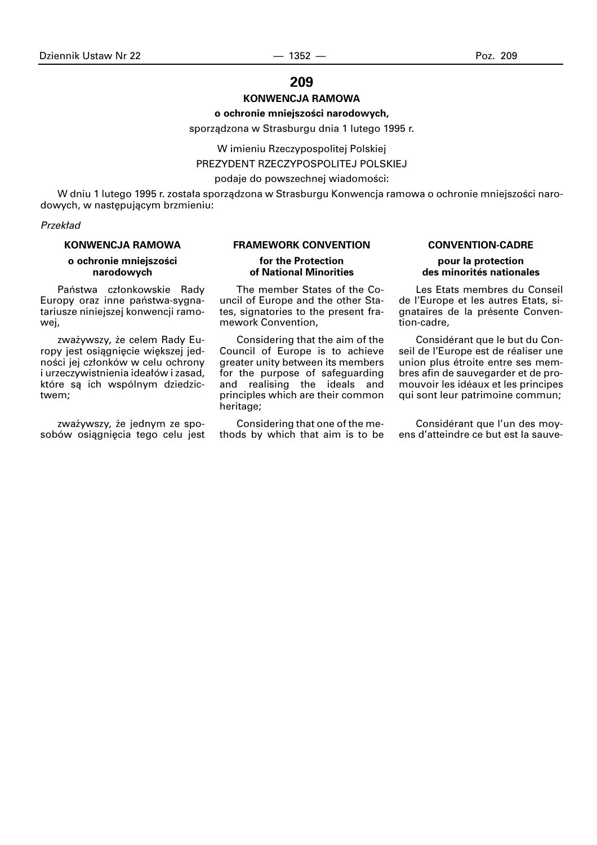# **209**

### **KONWENCJA RAMOWA**

# **o ochronie mniejszoÊci narodowych,**

sporządzona w Strasburgu dnia 1 lutego 1995 r.

W imieniu Rzeczypospolitej Polskiej

PREZYDENT RZECZYPOSPOLITEJ POLSKIEJ

podaje do powszechnej wiadomości:

W dniu 1 lutego 1995 r. została sporządzona w Strasburgu Konwencja ramowa o ochronie mniejszości narodowych, w nastepującym brzmieniu:

# **Przekład**

#### **KONWENCJA RAMOWA**

# **o ochronie mniejszości narodowych**

Państwa członkowskie Rady Europy oraz inne państwa-sygnatariusze niniejszej konwencji ramowej,

zważywszy, że celem Rady Europy jest osiągnięcie większej jedności jej członków w celu ochrony i urzeczywistnienia idea∏ów i zasad, które są ich wspólnym dziedzictwem;

zważywszy, że jednym ze sposobów osiągnięcia tego celu jest

#### **FRAMEWORK CONVENTION**

#### **for the Protection of National Minorities**

The member States of the Council of Europe and the other States, signatories to the present framework Convention,

Considering that the aim of the Council of Europe is to achieve greater unity between its members for the purpose of safeguarding and realising the ideals and principles which are their common heritage;

Considering that one of the methods by which that aim is to be

#### **CONVENTION-CADRE**

### **pour la protection des minorités nationales**

Les Etats membres du Conseil de l'Europe et les autres Etats, signataires de la présente Convention-cadre,

Considérant que le but du Conseil de l'Europe est de réaliser une union plus étroite entre ses membres afin de sauvegarder et de promouvoir les idéaux et les principes qui sont leur patrimoine commun;

Considérant que l'un des moyens d'atteindre ce but est la sauve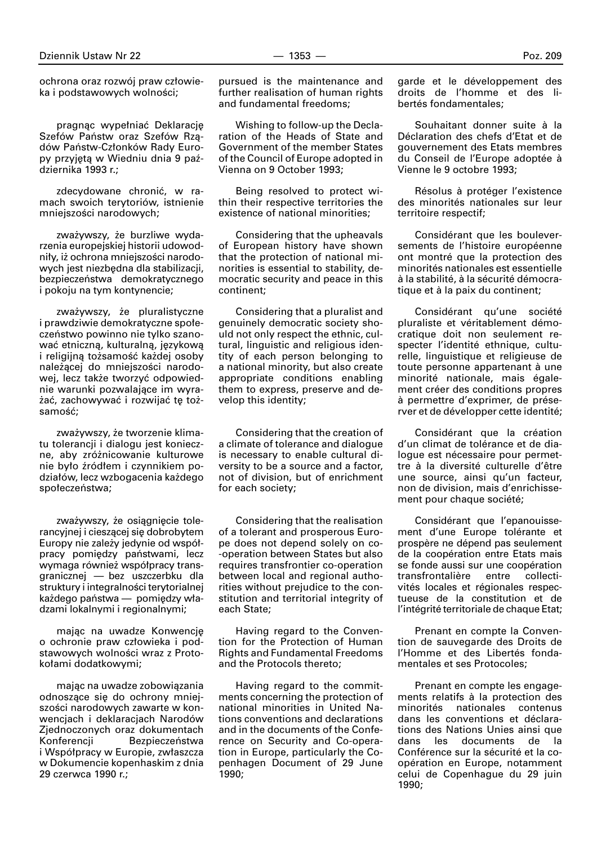ochrona oraz rozwój praw człowieka i podstawowych wolności;

pragnąc wypełniać Deklarację Szefów Państw oraz Szefów Rządów Państw-Członków Rady Europy przyjętą w Wiedniu dnia 9 października 1993 r.;

zdecydowane chroniç, w ramach swoich terytoriów, istnienie mniejszości narodowych;

zważywszy, że burzliwe wydarzenia europejskiej historii udowodniły, iż ochrona mniejszości narodowych jest niezbędna dla stabilizacji, bezpieczeństwa demokratycznego i pokoju na tym kontynencie;

zważywszy, że pluralistyczne i prawdziwie demokratyczne społeczeństwo powinno nie tylko szanować etniczną, kulturalną, językową i religijną tożsamość każdej osoby należącej do mniejszości narodowej, lecz także tworzyć odpowiednie warunki pozwalające im wyrażać, zachowywać i rozwijać tę tożsamość;

zważywszy, że tworzenie klimatu tolerancji i dialogu jest konieczne, aby zróżnicowanie kulturowe nie było źródłem i czynnikiem podziałów, lecz wzbogacenia każdego społeczeństwa;

zważywszy, że osiągnięcie tolerancyjnej i cieszącej się dobrobytem Europy nie zależy jedynie od współpracy pomiędzy państwami, lecz wymaga również współpracy transgranicznej — bez uszczerbku dla struktury i integralności terytorialnej każdego państwa — pomiędzy władzami lokalnymi i regionalnymi;

mając na uwadze Konwencję o ochronie praw człowieka i podstawowych wolności wraz z Protoko∏ami dodatkowymi;

majàc na uwadze zobowiàzania odnoszące się do ochrony mniejszości narodowych zawarte w konwencjach i deklaracjach Narodów Zjednoczonych oraz dokumentach Konferencii Bezpieczeństwa i Współpracy w Europie, zwłaszcza w Dokumencie kopenhaskim z dnia 29 czerwca 1990 r.;

pursued is the maintenance and further realisation of human rights and fundamental freedoms;

Wishing to follow-up the Declaration of the Heads of State and Government of the member States of the Council of Europe adopted in Vienna on 9 October 1993;

Being resolved to protect within their respective territories the existence of national minorities;

Considering that the upheavals of European history have shown that the protection of national minorities is essential to stability, democratic security and peace in this continent;

Considering that a pluralist and genuinely democratic society should not only respect the ethnic, cultural, linguistic and religious identity of each person belonging to a national minority, but also create appropriate conditions enabling them to express, preserve and develop this identity;

Considering that the creation of a climate of tolerance and dialogue is necessary to enable cultural diversity to be a source and a factor, not of division, but of enrichment for each society;

Considering that the realisation of a tolerant and prosperous Europe does not depend solely on co- -operation between States but also requires transfrontier co-operation between local and regional authorities without prejudice to the constitution and territorial integrity of each State;

Having regard to the Convention for the Protection of Human Rights and Fundamental Freedoms and the Protocols thereto;

Having regard to the commitments concerning the protection of national minorities in United Nations conventions and declarations and in the documents of the Conference on Security and Co-operation in Europe, particularly the Copenhagen Document of 29 June 1990;

garde et le développement des droits de l'homme et des libertés fondamentales;

Souhaitant donner suite à la Déclaration des chefs d'Etat et de gouvernement des Etats membres du Conseil de l'Europe adoptée à Vienne le 9 octobre 1993;

Résolus à protéger l'existence des minorités nationales sur leur territoire respectif;

Considérant que les bouleversements de l'histoire européenne ont montré que la protection des minorités nationales est essentielle à la stabilité, à la sécurité démocratique et à la paix du continent:

Considérant qu'une société pluraliste et véritablement démocratique doit non seulement respecter l'identité ethnique, culturelle, linguistique et religieuse de toute personne appartenant à une minorité nationale, mais également créer des conditions propres ∫ permettre d'exprimer, de préserver et de développer cette identité;

Considérant que la création d'un climat de tolérance et de dialogue est nécessaire pour permettre à la diversité culturelle d'être une source, ainsi qu'un facteur, non de division, mais d'enrichissement pour chaque société;

Considérant que l'epanouissement d'une Europe tolérante et prospère ne dépend pas seulement de la coopération entre Etats mais se fonde aussi sur une coopération transfrontalière entre collectivités locales et régionales respectueuse de la constitution et de l'intégrité territoriale de chaque Etat;

Prenant en compte la Convention de sauvegarde des Droits de l'Homme et des Libertés fondamentales et ses Protocoles;

Prenant en compte les engagements relatifs à la protection des minorités nationales contenus dans les conventions et déclarations des Nations Unies ainsi que dans les documents de la Conférence sur la sécurité et la coopération en Europe, notamment celui de Copenhague du 29 juin 1990;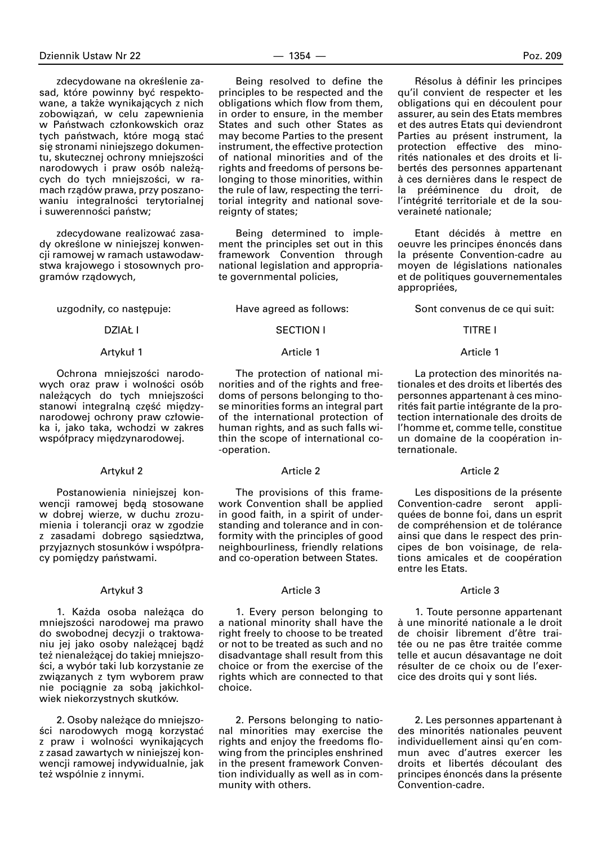zdecydowane na określenie zasad, które powinny być respektowane, a także wynikających z nich zobowiązań, w celu zapewnienia w Państwach członkowskich oraz tych państwach, które mogą stać się stronami niniejszego dokumentu, skutecznej ochrony mniejszości narodowych i praw osób należących do tych mniejszości, w ramach rządów prawa, przy poszanowaniu integralności terytorialnej i suwerenności państw;

zdecydowane realizowaç zasady określone w niniejszej konwencji ramowej w ramach ustawodawstwa krajowego i stosownych programów rzàdowych,

uzgodniły, co następuje:

#### DZIAŁ I

#### Artykuł 1

Ochrona mniejszości narodowych oraz praw i wolności osób należących do tych mniejszości stanowi integralną część międzynarodowej ochrony praw człowieka i, jako taka, wchodzi w zakres współpracy międzynarodowej.

### Artykuł 2

Postanowienia niniejszej konwencji ramowej beda stosowane w dobrej wierze, w duchu zrozumienia i tolerancji oraz w zgodzie z zasadami dobrego sąsiedztwa, przyjaznych stosunków i współpracy pomiędzy państwami.

#### Artykuł 3

1. Każda osoba należąca do mniejszości narodowej ma prawo do swobodnej decyzji o traktowaniu jej jako osoby należącej bądź też nienależącej do takiej mniejszości, a wybór taki lub korzystanie ze związanych z tym wyborem praw nie pociągnie za sobą jakichkolwiek niekorzystnych skutków.

2. Osoby nale˝àce do mniejszości narodowych mogą korzystać z praw i wolności wynikających z zasad zawartych w niniejszej konwencji ramowej indywidualnie, jak też wspólnie z innymi.

Being resolved to define the principles to be respected and the obligations which flow from them, in order to ensure, in the member States and such other States as may become Parties to the present instrument, the effective protection of national minorities and of the rights and freedoms of persons belonging to those minorities, within the rule of law, respecting the territorial integrity and national sovereignty of states;

Being determined to implement the principles set out in this framework Convention through national legislation and appropriate governmental policies,

Have agreed as follows:

# SECTION I

#### Article 1

The protection of national minorities and of the rights and freedoms of persons belonging to those minorities forms an integral part of the international protection of human rights, and as such falls within the scope of international co- -operation.

# Article 2

The provisions of this framework Convention shall be applied in good faith, in a spirit of understanding and tolerance and in conformity with the principles of good neighbourliness, friendly relations and co-operation between States.

#### Article 3

1. Every person belonging to a national minority shall have the right freely to choose to be treated or not to be treated as such and no disadvantage shall result from this choice or from the exercise of the rights which are connected to that choice.

2. Persons belonging to national minorities may exercise the rights and enjoy the freedoms flowing from the principles enshrined in the present framework Convention individually as well as in community with others.

Résolus à définir les principes qu'il convient de respecter et les obligations qui en découlent pour assurer, au sein des Etats membres et des autres Etats qui deviendront Parties au présent instrument, la protection effective des minorités nationales et des droits et libertés des personnes appartenant à ces dernières dans le respect de la prééminence du droit, de l'intégrité territoriale et de la souveraineté nationale;

Etant décidés à mettre en oeuvre les principes énoncés dans la présente Convention-cadre au moyen de législations nationales et de politiques gouvernementales appropriées,

Sont convenus de ce qui suit:

#### TITRE I

#### Article 1

La protection des minorités nationales et des droits et libertés des personnes appartenant à ces minorités fait partie intégrante de la protection internationale des droits de l'homme et, comme telle, constitue un domaine de la coopération internationale.

#### Article 2

Les dispositions de la présente Convention-cadre seront appliquées de bonne foi, dans un esprit de compréhension et de tolérance ainsi que dans le respect des principes de bon voisinage, de relations amicales et de coopération entre les Etats.

### Article 3

1. Toute personne appartenant ∫ une minorité nationale a le droit de choisir librement d'être traitée ou ne pas être traitée comme telle et aucun désavantage ne doit résulter de ce choix ou de l'exercice des droits qui y sont liés.

2. Les personnes appartenant à des minorités nationales peuvent individuellement ainsi qu'en commun avec d'autres exercer les droits et libertés découlant des principes énoncés dans la présente Convention-cadre.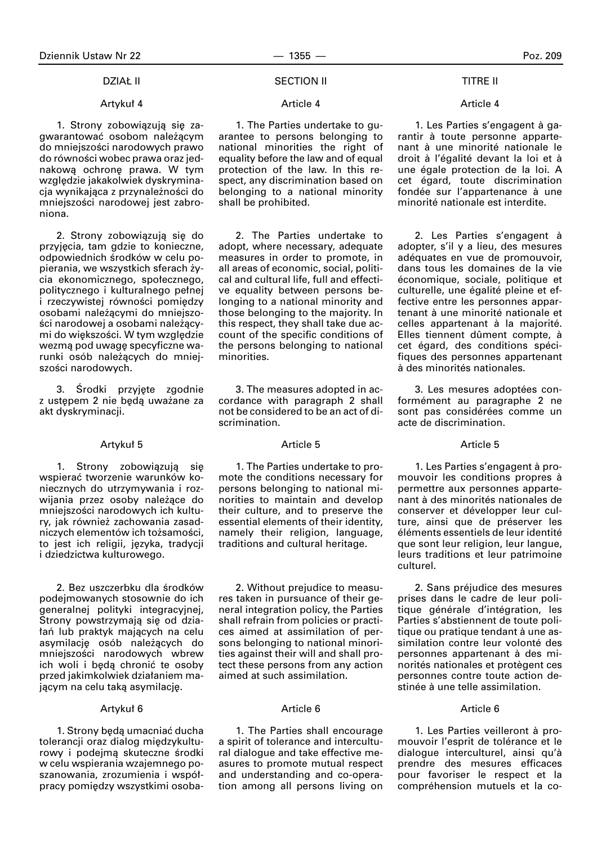#### **DZIAŁ II**

# Artykuł 4

1. Strony zobowiązują się zagwarantować osobom należącym do mniejszości narodowych prawo do równości wobec prawa oraz jednakową ochronę prawa. W tym względzie jakakolwiek dyskryminacja wynikająca z przynależności do mniejszości narodowej jest zabroniona.

2. Strony zobowiązują się do przyjęcia, tam gdzie to konieczne, odpowiednich środków w celu popierania, we wszystkich sferach życia ekonomicznego, społecznego, politycznego i kulturalnego pełnej i rzeczywistej równości pomiędzy osobami nale˝àcymi do mniejszości narodowej a osobami należącymi do większości. W tym względzie wezmą pod uwagę specyficzne warunki osób należących do mniejszości narodowych.

3. Środki przyjęte zgodnie z ustępem 2 nie będą uważane za akt dyskryminacji.

#### Artykuł 5

1. Strony zobowiązują się wspieraç tworzenie warunków koniecznych do utrzymywania i rozwijania przez osoby należące do mniejszości narodowych ich kultury, jak również zachowania zasadniczych elementów ich tożsamości, to jest ich religii, języka, tradycji i dziedzictwa kulturowego.

2. Bez uszczerbku dla środków podejmowanych stosownie do ich generalnej polityki integracyjnej, Strony powstrzymają się od dzia-∏aƒ lub praktyk majàcych na celu asymilację osób należących do mniejszości narodowych wbrew ich woli i beda chronić te osoby przed jakimkolwiek działaniem majacym na celu taka asymilacie.

#### Artykuł 6

1. Strony będą umacniać ducha tolerancji oraz dialog międzykulturowy i podejmą skuteczne środki w celu wspierania wzajemnego poszanowania, zrozumienia i współpracy pomiedzy wszystkimi osoba-

### SECTION II

#### Article 4

1. The Parties undertake to guarantee to persons belonging to national minorities the right of equality before the law and of equal protection of the law. In this respect, any discrimination based on belonging to a national minority shall be prohibited.

2. The Parties undertake to adopt, where necessary, adequate measures in order to promote, in all areas of economic, social, political and cultural life, full and effective equality between persons belonging to a national minority and those belonging to the majority. In this respect, they shall take due account of the specific conditions of the persons belonging to national minorities.

3. The measures adopted in accordance with paragraph 2 shall not be considered to be an act of discrimination.

#### Article 5

1. The Parties undertake to promote the conditions necessary for persons belonging to national minorities to maintain and develop their culture, and to preserve the essential elements of their identity, namely their religion, language, traditions and cultural heritage.

2. Without prejudice to measures taken in pursuance of their general integration policy, the Parties shall refrain from policies or practices aimed at assimilation of persons belonging to national minorities against their will and shall protect these persons from any action aimed at such assimilation.

# Article 6

1. The Parties shall encourage a spirit of tolerance and intercultural dialogue and take effective measures to promote mutual respect and understanding and co-operation among all persons living on

#### TITRE II

#### Article 4

1. Les Parties s'engagent à garantir à toute personne appartenant à une minorité nationale le droit à l'égalité devant la loi et à une égale protection de la loi. A cet égard, toute discrimination fondée sur l'appartenance à une minorité nationale est interdite.

2. Les Parties s'engagent à adopter, s'il y a lieu, des mesures adéquates en vue de promouvoir, dans tous les domaines de la vie économique, sociale, politique et culturelle, une égalité pleine et effective entre les personnes appartenant à une minorité nationale et celles appartenant à la majorité. Elles tiennent dûment compte, à cet égard, des conditions spécifiques des personnes appartenant à des minorités nationales.

3. Les mesures adoptées conformément au paragraphe 2 ne sont pas considérées comme un acte de discrimination.

### Article 5

1. Les Parties s'engagent à promouvoir les conditions propres à permettre aux personnes appartenant à des minorités nationales de conserver et développer leur culture, ainsi que de préserver les éléments essentiels de leur identité que sont leur religion, leur langue, leurs traditions et leur patrimoine culturel.

2. Sans préjudice des mesures prises dans le cadre de leur politique générale d'intégration, les Parties s'abstiennent de toute politique ou pratique tendant à une assimilation contre leur volonté des personnes appartenant à des minorités nationales et protègent ces personnes contre toute action destinée à une telle assimilation.

# Article 6

1. Les Parties veilleront à promouvoir l'esprit de tolérance et le dialoque interculturel, ainsi qu'à prendre des mesures efficaces pour favoriser le respect et la compréhension mutuels et la co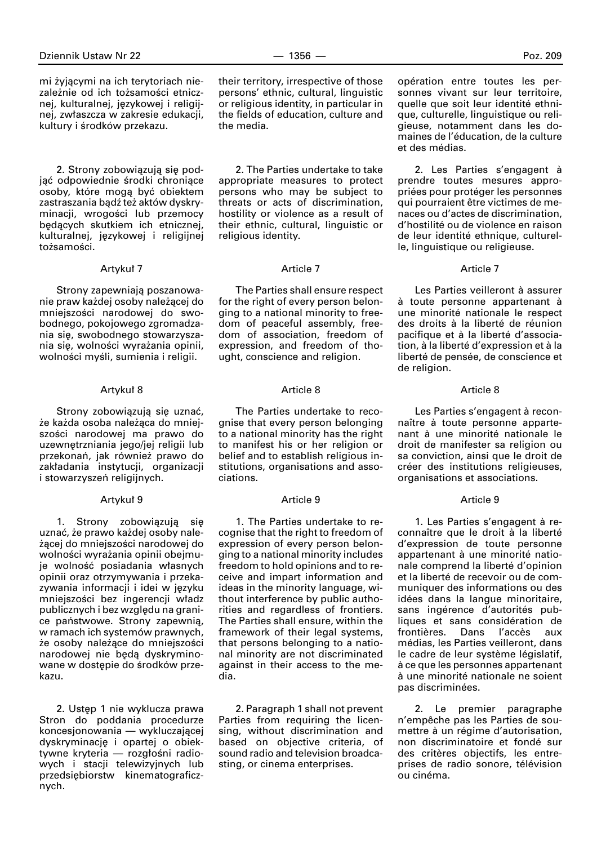mi żyjącymi na ich terytoriach niezależnie od ich tożsamości etnicznej, kulturalnej, językowej i religijnej, zwłaszcza w zakresie edukacji, kultury i środków przekazu.

2. Strony zobowiązują się podjąć odpowiednie środki chroniące osoby, które mogą być obiektem zastraszania bądź też aktów dyskryminacji, wrogości lub przemocy będących skutkiem ich etnicznej, kulturalnej, językowej i religijnej tożsamości.

### Artykuł 7

Strony zapewniają poszanowanie praw każdej osoby należącej do mniejszości narodowej do swobodnego, pokojowego zgromadzania się, swobodnego stowarzyszania się, wolności wyrażania opinii, wolności myśli, sumienia i religii.

#### Artykuł 8

Strony zobowiązują się uznać, że każda osoba należąca do mniejszości narodowej ma prawo do uzewnętrzniania jego/jej religii lub przekonań, jak również prawo do zakładania instytucji, organizacji i stowarzyszeń religijnych.

#### Artykuł 9

1. Strony zobowiązują się uznać, że prawo każdej osoby należącej do mniejszości narodowej do wolności wyrażania opinii obejmuje wolność posiadania własnych opinii oraz otrzymywania i przekazywania informacji i idei w jezyku mniejszości bez ingerencji władz publicznych i bez względu na granice państwowe. Strony zapewnią, w ramach ich systemów prawnych, że osoby należace do mniejszości narodowej nie beda dyskryminowane w dostępie do środków przekazu.

2. Ustep 1 nie wyklucza prawa Stron do poddania procedurze koncesjonowania — wykluczającej dyskryminację i opartej o obiektywne kryteria — rozgłośni radiowych i stacji telewizyjnych lub przedsiębiorstw kinematograficznych.

their territory, irrespective of those persons' ethnic, cultural, linguistic or religious identity, in particular in the fields of education, culture and the media.

2. The Parties undertake to take appropriate measures to protect persons who may be subject to threats or acts of discrimination, hostility or violence as a result of their ethnic, cultural, linguistic or religious identity.

### Article 7

The Parties shall ensure respect for the right of every person belonging to a national minority to freedom of peaceful assembly, freedom of association, freedom of expression, and freedom of thought, conscience and religion.

# Article 8

The Parties undertake to recognise that every person belonging to a national minority has the right to manifest his or her religion or belief and to establish religious institutions, organisations and associations.

### Article 9

1. The Parties undertake to recognise that the right to freedom of expression of every person belonging to a national minority includes freedom to hold opinions and to receive and impart information and ideas in the minority language, without interference by public authorities and regardless of frontiers. The Parties shall ensure, within the framework of their legal systems, that persons belonging to a national minority are not discriminated against in their access to the media.

2. Paragraph 1 shall not prevent Parties from requiring the licensing, without discrimination and based on objective criteria, of sound radio and television broadcasting, or cinema enterprises.

opération entre toutes les personnes vivant sur leur territoire, quelle que soit leur identité ethnique, culturelle, linguistique ou religieuse, notamment dans les domaines de l'éducation, de la culture et des médias.

2. Les Parties s'engagent à prendre toutes mesures appropriées pour protéger les personnes qui pourraient être victimes de menaces ou d'actes de discrimination, d'hostilité ou de violence en raison de leur identité ethnique, culturelle, linguistique ou religieuse.

#### Article 7

Les Parties veilleront à assurer à toute personne appartenant à une minorité nationale le respect des droits à la liberté de réunion pacifique et à la liberté d'association, à la liberté d'expression et à la liberté de pensée, de conscience et de religion.

# Article 8

Les Parties s'engagent à reconnaître à toute personne appartenant à une minorité nationale le droit de manifester sa religion ou sa conviction, ainsi que le droit de créer des institutions religieuses, organisations et associations.

#### Article 9

1. Les Parties s'engagent à reconnaître que le droit à la liberté d'expression de toute personne appartenant à une minorité nationale comprend la liberté d'opinion et la liberté de recevoir ou de communiquer des informations ou des idées dans la langue minoritaire, sans ingérence d'autorités publiques et sans considération de frontières. Dans l'accès aux médias, les Parties veilleront, dans le cadre de leur système législatif, ∫ ce que les personnes appartenant ∫ une minorité nationale ne soient pas discriminées.

2. Le premier paragraphe n'empêche pas les Parties de soumettre à un régime d'autorisation, non discriminatoire et fondé sur des critères objectifs, les entreprises de radio sonore, télévision ou cinéma.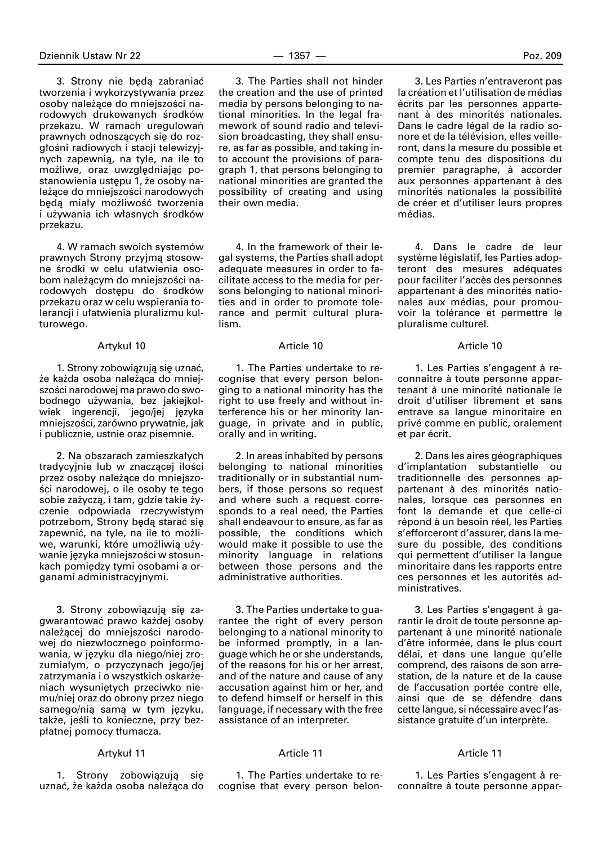3. Strony nie beda zabraniać tworzenia i wykorzystywania przez osoby należące do mniejszości narodowych drukowanych środków przekazu. W ramach uregulowań prawnych odnoszących się do rozgłośni radiowych i stacji telewizyjnych zapewnią, na tyle, na ile to możliwe, oraz uwzględniając postanowienia ustępu 1, że osoby należące do mniejszości narodowych będą miały możliwość tworzenia i używania ich własnych środków przekazu.

4. W ramach swoich systemów prawnych Strony przyjmà stosowne środki w celu ułatwienia osobom należącym do mniejszości narodowych dostępu do środków przekazu oraz w celu wspierania tolerancji i u∏atwienia pluralizmu kulturowego.

### Artykuł 10

1. Strony zobowiązują się uznać, że każda osoba należąca do mniejszości narodowej ma prawo do swobodnego używania, bez jakiejkolwiek ingerencji, jego/jej języka mniejszości, zarówno prywatnie, jak i publicznie, ustnie oraz pisemnie.

2. Na obszarach zamieszkałych tradycyjnie lub w znaczącej ilości przez osoby należące do mniejszości narodowej, o ile osoby te tego sobie zażyczą, i tam, gdzie takie życzenie odpowiada rzeczywistym potrzebom, Strony beda starać sie zapewnić, na tyle, na ile to możliwe, warunki, które umożliwią używanie jezyka mniejszości w stosunkach pomiedzy tymi osobami a organami administracyjnymi.

3. Strony zobowiązują się zagwarantować prawo każdej osoby należącej do mniejszości narodowej do niezwłocznego poinformowania, w języku dla niego/niej zrozumiałym, o przyczynach jego/jej zatrzymania i o wszystkich oskarżeniach wysunietych przeciwko niemu/niej oraz do obrony przez niego samego/nia sama w tym języku, także, jeśli to konieczne, przy bezpłatnej pomocy tłumacza.

#### Artyku∏ 11

1. Strony zobowiązują się uznać, że każda osoba należąca do

3. The Parties shall not hinder the creation and the use of printed media by persons belonging to national minorities. In the legal framework of sound radio and television broadcasting, they shall ensure, as far as possible, and taking into account the provisions of paragraph 1, that persons belonging to national minorities are granted the possibility of creating and using their own media.

4. In the framework of their legal systems, the Parties shall adopt adequate measures in order to facilitate access to the media for persons belonging to national minorities and in order to promote tolerance and permit cultural pluralism.

# Article 10

1. The Parties undertake to recognise that every person belonging to a national minority has the right to use freely and without interference his or her minority language, in private and in public, orally and in writing.

2. In areas inhabited by persons belonging to national minorities traditionally or in substantial numbers, if those persons so request and where such a request corresponds to a real need, the Parties shall endeavour to ensure, as far as possible, the conditions which would make it possible to use the minority language in relations between those persons and the administrative authorities.

3. The Parties undertake to guarantee the right of every person belonging to a national minority to be informed promptly, in a language which he or she understands, of the reasons for his or her arrest, and of the nature and cause of any accusation against him or her, and to defend himself or herself in this language, if necessary with the free assistance of an interpreter.

# Article 11

1. The Parties undertake to recognise that every person belon-

3. Les Parties n'entraveront pas la création et l'utilisation de médias écrits par les personnes appartenant à des minorités nationales. Dans le cadre légal de la radio sonore et de la télévision, elles veilleront, dans la mesure du possible et compte tenu des dispositions du premier paragraphe, à accorder aux personnes appartenant à des minorités nationales la possibilité de créer et d'utiliser leurs propres médias.

4. Dans le cadre de leur système législatif, les Parties adopteront des mesures adéquates pour faciliter l'accès des personnes appartenant à des minorités nationales aux médias, pour promouvoir la tolérance et permettre le pluralisme culturel.

#### Article 10

1. Les Parties s'engagent à reconnaître à toute personne appartenant à une minorité nationale le droit d'utiliser librement et sans entrave sa langue minoritaire en privé comme en public, oralement et par écrit.

2. Dans les aires géographiques d'implantation substantielle ou traditionnelle des personnes appartenant à des minorités nationales, lorsque ces personnes en font la demande et que celle-ci répond à un besoin réel, les Parties s'efforceront d'assurer, dans la mesure du possible, des conditions qui permettent d'utiliser la langue minoritaire dans les rapports entre ces personnes et les autorités administratives.

3. Les Parties s'engagent à garantir le droit de toute personne appartenant à une minorité nationale d'être informée, dans le plus court délai, et dans une langue qu'elle comprend, des raisons de son arrestation, de la nature et de la cause de l'accusation portée contre elle, ainsi que de se défendre dans cette langue, si nécessaire avec l'assistance gratuite d'un interprète.

### Article 11

1. Les Parties s'engagent à reconnaître à toute personne appar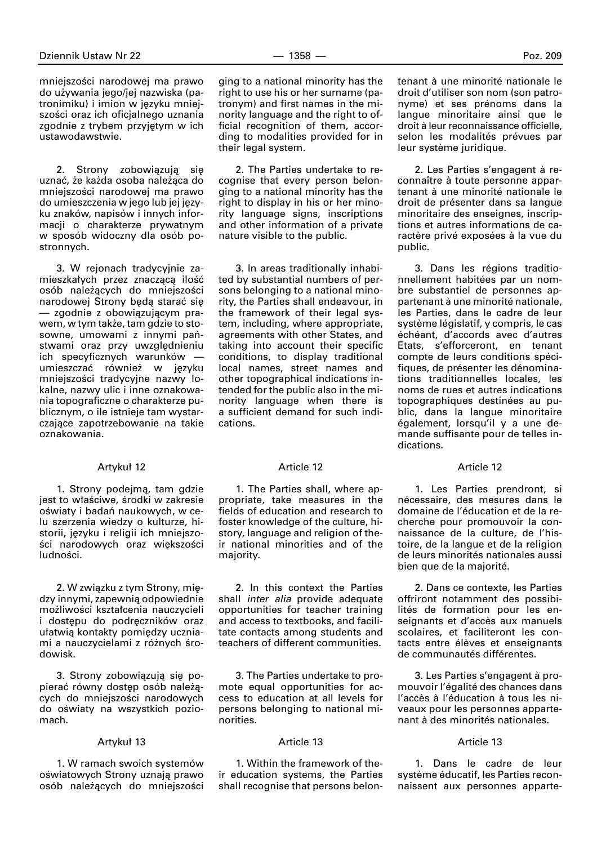mniejszości narodowej ma prawo do u˝ywania jego/jej nazwiska (patronimiku) i imion w języku mniejszości oraz ich oficjalnego uznania zgodnie z trybem przyjętym w ich ustawodawstwie.

2. Strony zobowiązują się uznać, że każda osoba należąca do mniejszości narodowej ma prawo do umieszczenia w jego lub jej języku znaków, napisów i innych informacji o charakterze prywatnym w sposób widoczny dla osób postronnych.

3. W rejonach tradycyjnie zamieszkałych przez znaczącą ilość osób należących do mniejszości narodowej Strony będą starać się — zgodnie z obowiàzujàcym prawem, w tym także, tam gdzie to stosowne, umowami z innymi państwami oraz przy uwzględnieniu ich specyficznych warunków umieszczać również w języku mniejszości tradycyjne nazwy lokalne, nazwy ulic i inne oznakowania topograficzne o charakterze publicznym, o ile istnieje tam wystarczające zapotrzebowanie na takie oznakowania.

#### Artykuł 12

1. Strony podejmà, tam gdzie jest to właściwe, środki w zakresie oświaty i badań naukowych, w celu szerzenia wiedzy o kulturze, historii, języku i religii ich mniejszości narodowych oraz większości ludności

2. W związku z tym Strony, miedzy innymi, zapewnià odpowiednie możliwości kształcenia nauczycieli i dostepu do podreczników oraz ułatwią kontakty pomiędzy uczniami a nauczycielami z różnych środowisk.

3. Strony zobowiązują się popierać równy dostep osób należacych do mniejszości narodowych do oświaty na wszystkich poziomach.

#### Artykuł 13

1. W ramach swoich systemów oświatowych Strony uznają prawo osób należących do mniejszości

ging to a national minority has the right to use his or her surname (patronym) and first names in the minority language and the right to official recognition of them, according to modalities provided for in their legal system.

2. The Parties undertake to recognise that every person belonging to a national minority has the right to display in his or her minority language signs, inscriptions and other information of a private nature visible to the public.

3. In areas traditionally inhabited by substantial numbers of persons belonging to a national minority, the Parties shall endeavour, in the framework of their legal system, including, where appropriate, agreements with other States, and taking into account their specific conditions, to display traditional local names, street names and other topographical indications intended for the public also in the minority language when there is a sufficient demand for such indications.

#### Article 12

1. The Parties shall, where appropriate, take measures in the fields of education and research to foster knowledge of the culture, history, language and religion of their national minorities and of the majority.

2. In this context the Parties shall *inter alia* provide adequate opportunities for teacher training and access to textbooks, and facilitate contacts among students and teachers of different communities.

3. The Parties undertake to promote equal opportunities for access to education at all levels for persons belonging to national minorities.

# Article 13

1. Within the framework of their education systems, the Parties shall recognise that persons belontenant à une minorité nationale le droit d'utiliser son nom (son patronyme) et ses prénoms dans la langue minoritaire ainsi que le droit à leur reconnaissance officielle, selon les modalités prévues par leur système juridique.

2. Les Parties s'engagent à reconnaître à toute personne appartenant à une minorité nationale le droit de présenter dans sa langue minoritaire des enseignes, inscriptions et autres informations de caractère privé exposées à la vue du public.

3. Dans les régions traditionnellement habitées par un nombre substantiel de personnes appartenant à une minorité nationale, les Parties, dans le cadre de leur système législatif, y compris, le cas échéant, d'accords avec d'autres Etats, s'efforceront, en tenant compte de leurs conditions spécifiques, de présenter les dénominations traditionnelles locales, les noms de rues et autres indications topographiques destinées au public, dans la langue minoritaire également, lorsqu'il y a une demande suffisante pour de telles indications.

#### Article 12

1. Les Parties prendront, si nécessaire, des mesures dans le domaine de l'éducation et de la recherche pour promouvoir la connaissance de la culture, de l'histoire, de la langue et de la religion de leurs minorités nationales aussi bien que de la majorité.

2. Dans ce contexte, les Parties offriront notamment des possibilités de formation pour les enseignants et d'accès aux manuels scolaires, et faciliteront les contacts entre élèves et enseignants de communautés différentes.

3. Les Parties s'engagent à promouvoir l'égalité des chances dans l'accès à l'éducation à tous les niveaux pour les personnes appartenant à des minorités nationales.

# Article 13

1. Dans le cadre de leur système éducatif, les Parties reconnaissent aux personnes apparte-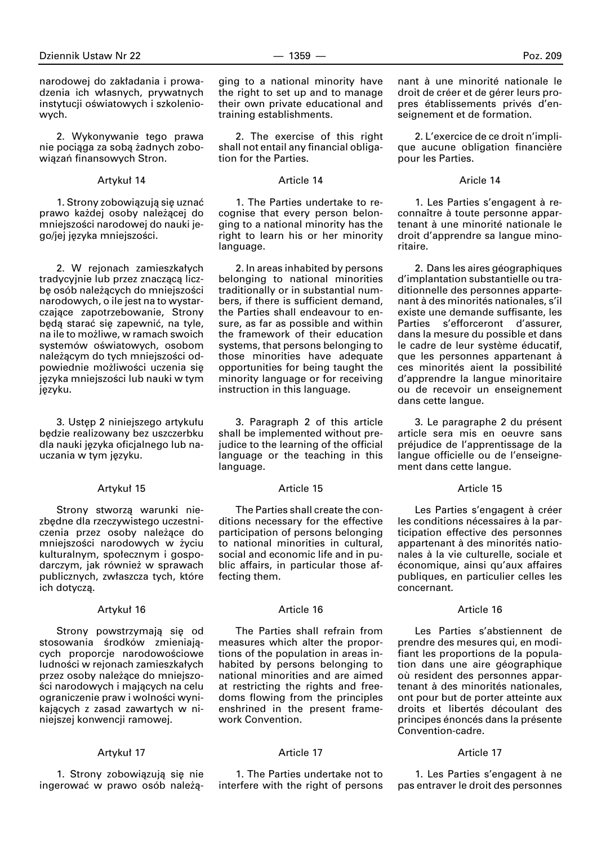narodowej do zakładania i prowadzenia ich w∏asnych, prywatnych instytucji oświatowych i szkoleniowych.

2. Wykonywanie tego prawa nie pociąga za sobą żadnych zobowiązań finansowych Stron.

# Artykuł 14

1. Strony zobowiązują się uznać prawo każdej osoby należącej do mniejszości narodowej do nauki jego/jej języka mniejszości.

2. W rejonach zamieszkałych tradycyjnie lub przez znaczącą liczbe osób należących do mniejszości narodowych, o ile jest na to wystarczające zapotrzebowanie, Strony będą starać się zapewnić, na tyle, na ile to możliwe, w ramach swoich systemów oświatowych, osobom należącym do tych mniejszości odpowiednie możliwości uczenia się języka mniejszości lub nauki w tym języku.

3. Ustęp 2 niniejszego artykułu będzie realizowany bez uszczerbku dla nauki języka oficjalnego lub nauczania w tym języku.

### Artykuł 15

Strony stworzą warunki niezbędne dla rzeczywistego uczestniczenia przez osoby należące do mniejszości narodowych w życiu kulturalnym, społecznym i gospodarczym, jak również w sprawach publicznych, zw∏aszcza tych, które ich dotyczà.

### Artyku∏ 16

Strony powstrzymają się od stosowania środków zmieniających proporcje narodowościowe ludności w rejonach zamieszkałych przez osoby należące do mniejszości narodowych i mających na celu ograniczenie praw i wolności wynikających z zasad zawartych w niniejszej konwencji ramowej.

#### Artykuł 17

1. Strony zobowiązują się nie ingerować w prawo osób należą-

ging to a national minority have the right to set up and to manage their own private educational and training establishments.

2. The exercise of this right shall not entail any financial obligation for the Parties.

### Article 14

1. The Parties undertake to recognise that every person belonging to a national minority has the right to learn his or her minority language.

2. In areas inhabited by persons belonging to national minorities traditionally or in substantial numbers, if there is sufficient demand, the Parties shall endeavour to ensure, as far as possible and within the framework of their education systems, that persons belonging to those minorities have adequate opportunities for being taught the minority language or for receiving instruction in this language.

3. Paragraph 2 of this article shall be implemented without prejudice to the learning of the official language or the teaching in this language.

### Article 15

The Parties shall create the conditions necessary for the effective participation of persons belonging to national minorities in cultural, social and economic life and in public affairs, in particular those affecting them.

#### Article 16

The Parties shall refrain from measures which alter the proportions of the population in areas inhabited by persons belonging to national minorities and are aimed at restricting the rights and freedoms flowing from the principles enshrined in the present framework Convention.

# Article 17

1. The Parties undertake not to interfere with the right of persons nant à une minorité nationale le droit de créer et de gérer leurs propres établissements privés d'enseignement et de formation.

2. L'exercice de ce droit n'implique aucune obligation financière pour les Parties.

# Aricle 14

1. Les Parties s'engagent à reconnaître à toute personne appartenant à une minorité nationale le droit d'apprendre sa langue minoritaire.

2. Dans les aires géographiques d'implantation substantielle ou traditionnelle des personnes appartenant à des minorités nationales, s'il existe une demande suffisante, les Parties s'efforceront d'assurer, dans la mesure du possible et dans le cadre de leur système éducatif, que les personnes appartenant à ces minorités aient la possibilité d'apprendre la langue minoritaire ou de recevoir un enseignement dans cette langue.

3. Le paragraphe 2 du présent article sera mis en oeuvre sans préjudice de l'apprentissage de la langue officielle ou de l'enseignement dans cette langue.

### Article 15

Les Parties s'engagent à créer les conditions nécessaires à la participation effective des personnes appartenant à des minorités nationales à la vie culturelle, sociale et économique, ainsi qu'aux affaires publiques, en particulier celles les concernant.

### Article 16

Les Parties s'abstiennent de prendre des mesures qui, en modifiant les proportions de la population dans une aire géographique où resident des personnes appartenant à des minorités nationales, ont pour but de porter atteinte aux droits et libertés découlant des principes énoncés dans la présente Convention-cadre.

### Article 17

1. Les Parties s'engagent à ne pas entraver le droit des personnes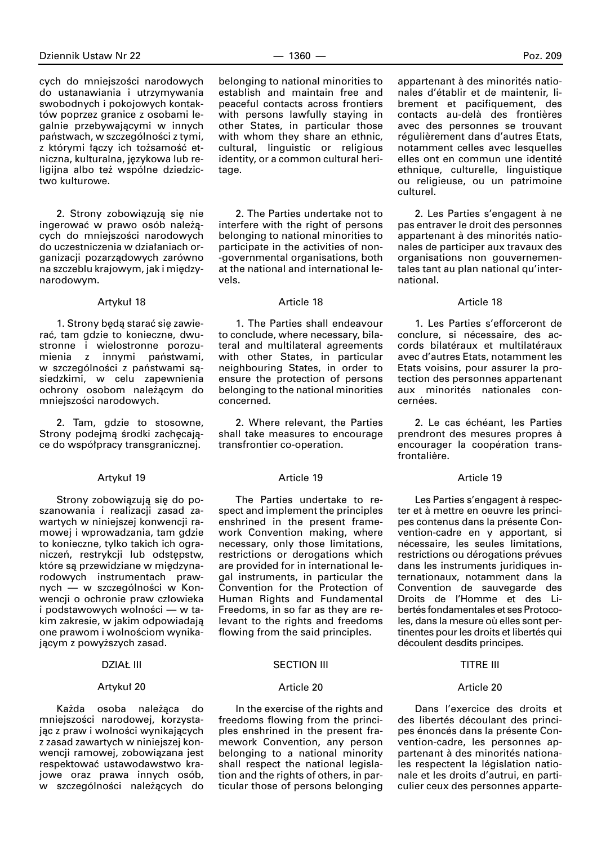cych do mniejszości narodowych do ustanawiania i utrzymywania swobodnych i pokojowych kontaktów poprzez granice z osobami legalnie przebywającymi w innych państwach, w szczególności z tymi, z którymi łączy ich tożsamość etniczna, kulturalna, językowa lub religijna albo też wspólne dziedzictwo kulturowe.

2. Strony zobowiązują się nie ingerować w prawo osób należących do mniejszości narodowych do uczestniczenia w dzia∏aniach organizacji pozarzàdowych zarówno na szczeblu krajowym, jak i międzynarodowym.

### Artykuł 18

1. Strony będą starać się zawieraç, tam gdzie to konieczne, dwustronne i wielostronne porozumienia z innymi państwami, w szczególności z państwami sąsiedzkimi, w celu zapewnienia ochrony osobom nale˝àcym do mniejszości narodowych.

2. Tam, gdzie to stosowne, Strony podejmą środki zachęcające do współpracy transgranicznej.

### Artyku∏ 19

Strony zobowiązują się do poszanowania i realizacji zasad zawartych w niniejszej konwencji ramowej i wprowadzania, tam gdzie to konieczne, tylko takich ich ograniczeń, restrykcji lub odstepstw, które są przewidziane w miedzynarodowych instrumentach prawnych — w szczególności w Konwencji o ochronie praw człowieka i podstawowych wolności — w takim zakresie, w jakim odpowiadajà one prawom i wolnościom wynikającym z powyższych zasad.

### **DZIAŁ III**

# Artyku∏ 20

Każda osoba należąca do mniejszości narodowej, korzystając z praw i wolności wynikających z zasad zawartych w niniejszej konwencji ramowej, zobowiązana jest respektowaç ustawodawstwo krajowe oraz prawa innych osób, w szczególności należacych do

belonging to national minorities to establish and maintain free and peaceful contacts across frontiers with persons lawfully staying in other States, in particular those with whom they share an ethnic, cultural, linguistic or religious identity, or a common cultural heritage.

2. The Parties undertake not to interfere with the right of persons belonging to national minorities to participate in the activities of non- -governmental organisations, both at the national and international levels.

### Article 18

1. The Parties shall endeavour to conclude, where necessary, bilateral and multilateral agreements with other States, in particular neighbouring States, in order to ensure the protection of persons belonging to the national minorities concerned.

2. Where relevant, the Parties shall take measures to encourage transfrontier co-operation.

### Article 19

The Parties undertake to respect and implement the principles enshrined in the present framework Convention making, where necessary, only those limitations, restrictions or derogations which are provided for in international legal instruments, in particular the Convention for the Protection of Human Rights and Fundamental Freedoms, in so far as they are relevant to the rights and freedoms flowing from the said principles.

### SECTION III

#### Article 20

In the exercise of the rights and freedoms flowing from the principles enshrined in the present framework Convention, any person belonging to a national minority shall respect the national legislation and the rights of others, in particular those of persons belonging appartenant à des minorités nationales d'établir et de maintenir, librement et pacifiquement, des contacts au-delà des frontières avec des personnes se trouvant régulièrement dans d'autres Etats, notamment celles avec lesquelles elles ont en commun une identité ethnique, culturelle, linguistique ou religieuse, ou un patrimoine culturel.

2. Les Parties s'engagent à ne pas entraver le droit des personnes appartenant à des minorités nationales de participer aux travaux des organisations non gouvernementales tant au plan national qu'international.

# Article 18

1. Les Parties s'efforceront de conclure, si nécessaire, des accords bilatéraux et multilatéraux avec d'autres Etats, notamment les Etats voisins, pour assurer la protection des personnes appartenant aux minorités nationales concernées.

2. Le cas échéant, les Parties prendront des mesures propres à encourager la coopération transfrontalière.

#### Article 19

Les Parties s'engagent à respecter et à mettre en oeuvre les principes contenus dans la présente Convention-cadre en y apportant, si nécessaire, les seules limitations, restrictions ou dérogations prévues dans les instruments juridiques internationaux, notamment dans la Convention de sauvegarde des Droits de l'Homme et des Libertés fondamentales et ses Protocoles, dans la mesure où elles sont pertinentes pour les droits et libertés qui découlent desdits principes.

# TITRE III

### Article 20

Dans l'exercice des droits et des libertés découlant des principes énoncés dans la présente Convention-cadre, les personnes appartenant à des minorités nationales respectent la législation nationale et les droits d'autrui, en particulier ceux des personnes apparte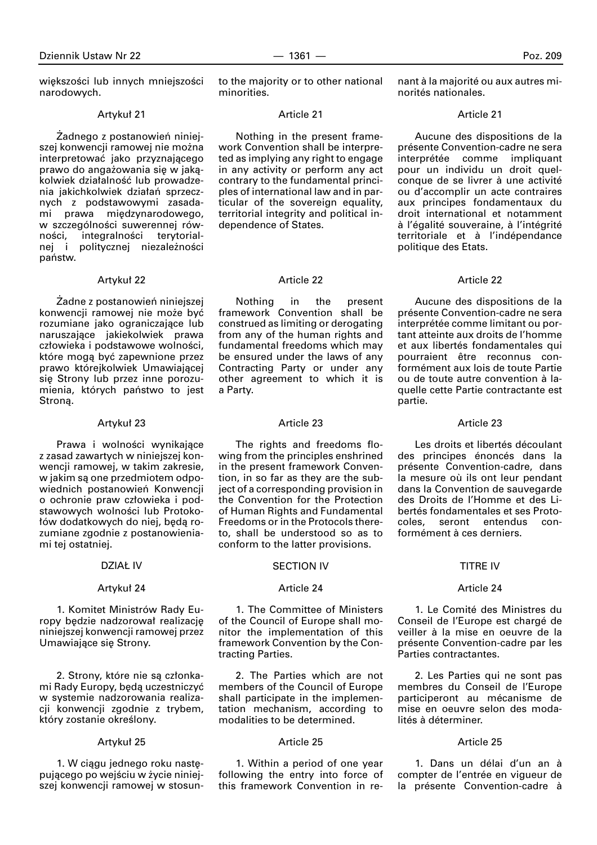większości lub innych mniejszości narodowych.

### Artyku∏ 21

Żadnego z postanowień niniejszej konwencji ramowej nie można interpretować jako przyznającego prawo do angażowania się w jakąkolwiek działalność lub prowadzenia jakichkolwiek działań sprzecznych z podstawowymi zasadami prawa międzynarodowego, w szczególności suwerennej równości, integralności terytorialnej i politycznej niezależności państw.

#### Artykuł 22

Żadne z postanowień niniejszej konwencji ramowej nie może być rozumiane jako ograniczające lub naruszające jakiekolwiek prawa człowieka i podstawowe wolności, które mogą być zapewnione przez prawo którejkolwiek Umawiającej się Strony lub przez inne porozumienia, których państwo to jest Stroną.

# Artykuł 23

Prawa i wolności wynikające z zasad zawartych w niniejszej konwencji ramowej, w takim zakresie, w jakim są one przedmiotem odpowiednich postanowień Konwencji o ochronie praw człowieka i podstawowych wolności lub Protokołów dodatkowych do niej, będą rozumiane zgodnie z postanowieniami tej ostatniej.

### **DZIAŁ IV**

#### Artyku∏ 24

1. Komitet Ministrów Rady Europy będzie nadzorował realizację niniejszej konwencji ramowej przez Umawiające się Strony.

2. Strony, które nie są członkami Rady Europy, beda uczestniczyć w systemie nadzorowania realizacji konwencji zgodnie z trybem, który zostanie określony.

#### Artyku∏ 25

1. W ciagu jednego roku nastepującego po wejściu w życie niniejszej konwencji ramowej w stosunto the majority or to other national minorities.

#### Article 21

Nothing in the present framework Convention shall be interpreted as implying any right to engage in any activity or perform any act contrary to the fundamental principles of international law and in particular of the sovereign equality, territorial integrity and political independence of States.

# Article 22

Nothing in the present framework Convention shall be construed as limiting or derogating from any of the human rights and fundamental freedoms which may be ensured under the laws of any Contracting Party or under any other agreement to which it is a Party.

#### Article 23

The rights and freedoms flowing from the principles enshrined in the present framework Convention, in so far as they are the subject of a corresponding provision in the Convention for the Protection of Human Rights and Fundamental Freedoms or in the Protocols thereto, shall be understood so as to conform to the latter provisions.

#### SECTION IV

#### Article 24

1. The Committee of Ministers of the Council of Europe shall monitor the implementation of this framework Convention by the Contracting Parties.

2. The Parties which are not members of the Council of Europe shall participate in the implementation mechanism, according to modalities to be determined.

# Article 25

1. Within a period of one year following the entry into force of this framework Convention in renant à la majorité ou aux autres minorités nationales.

### Article 21

Aucune des dispositions de la présente Convention-cadre ne sera interprétée comme impliquant pour un individu un droit quelconque de se livrer à une activité ou d'accomplir un acte contraires aux principes fondamentaux du droit international et notamment à l'égalité souveraine, à l'intégrité territoriale et à l'indépendance politique des Etats.

### Article 22

Aucune des dispositions de la présente Convention-cadre ne sera interprétée comme limitant ou portant atteinte aux droits de l'homme et aux libertés fondamentales qui pourraient être reconnus conformément aux lois de toute Partie ou de toute autre convention à laquelle cette Partie contractante est partie.

#### Article 23

Les droits et libertés découlant des principes énoncés dans la présente Convention-cadre, dans la mesure où ils ont leur pendant dans la Convention de sauvegarde des Droits de I'Homme et des Libertés fondamentales et ses Protocoles, seront entendus conformément à ces derniers.

#### TITRE IV

#### Article 24

1. Le Comité des Ministres du Conseil de l'Europe est chargé de veiller à la mise en oeuvre de la présente Convention-cadre par les Parties contractantes.

2. Les Parties qui ne sont pas membres du Conseil de l'Europe participeront au mécanisme de mise en oeuvre selon des modalités à déterminer

# Article 25

1. Dans un délai d'un an à compter de l'entrée en vigueur de la présente Convention-cadre à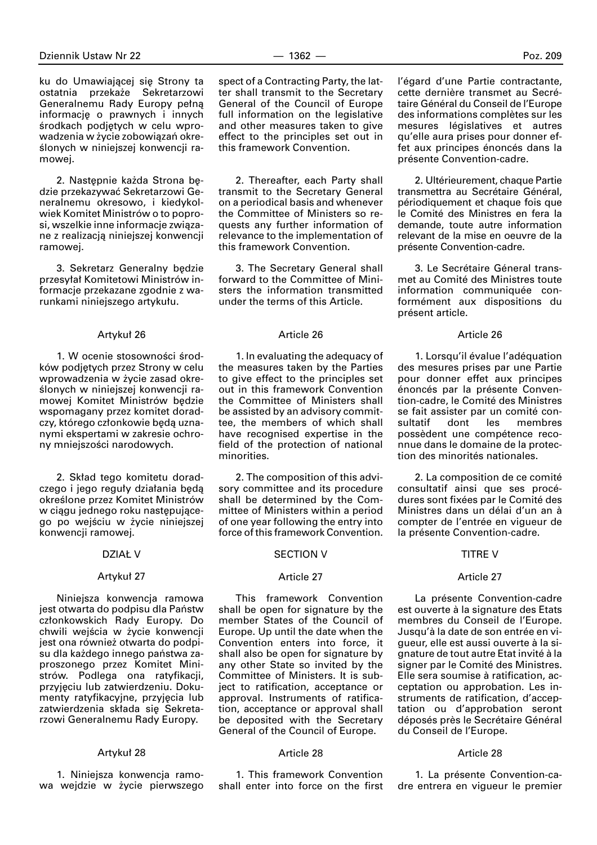ku do Umawiającej się Strony ta ostatnia przekaże Sekretarzowi Generalnemu Rady Europy pełną informację o prawnych i innych środkach podjętych w celu wprowadzenia w życie zobowiązań określonych w niniejszej konwencji ramowej.

2. Następnie każda Strona będzie przekazywaç Sekretarzowi Generalnemu okresowo, i kiedykolwiek Komitet Ministrów o to poprosi, wszelkie inne informacje związane z realizacjà niniejszej konwencji ramowej.

3. Sekretarz Generalny bedzie przesyłał Komitetowi Ministrów informacje przekazane zgodnie z warunkami niniejszego artykułu.

#### Artyku∏ 26

1. W ocenie stosowności środków podjętych przez Strony w celu wprowadzenia w życie zasad określonych w niniejszej konwencji ramowej Komitet Ministrów będzie wspomagany przez komitet doradczy, którego członkowie będą uznanymi ekspertami w zakresie ochrony mniejszości narodowych.

2. Skład tego komitetu doradczego i jego reguły działania będą określone przez Komitet Ministrów w ciągu jednego roku następującego po wejściu w życie niniejszej konwencji ramowej.

#### DZIAŁ V

#### Artykuł 27

Niniejsza konwencja ramowa jest otwarta do podpisu dla Państw członkowskich Rady Europy. Do chwili wejścia w życie konwencji jest ona również otwarta do podpisu dla każdego innego państwa zaproszonego przez Komitet Ministrów. Podlega ona ratyfikacji, przyjęciu lub zatwierdzeniu. Dokumenty ratyfikacyjne, przyjęcia lub zatwierdzenia składa się Sekretarzowi Generalnemu Rady Europy.

#### Artyku∏ 28

1. Niniejsza konwencja ramowa wejdzie w życie pierwszego

2. Thereafter, each Party shall transmit to the Secretary General on a periodical basis and whenever the Committee of Ministers so requests any further information of relevance to the implementation of this framework Convention.

3. The Secretary General shall forward to the Committee of Ministers the information transmitted under the terms of this Article.

#### Article 26

1. In evaluating the adequacy of the measures taken by the Parties to give effect to the principles set out in this framework Convention the Committee of Ministers shall be assisted by an advisory committee, the members of which shall have recognised expertise in the field of the protection of national minorities.

2. The composition of this advisory committee and its procedure shall be determined by the Committee of Ministers within a period of one year following the entry into force of this framework Convention.

#### SECTION V

#### Article 27

This framework Convention shall be open for signature by the member States of the Council of Europe. Up until the date when the Convention enters into force, it shall also be open for signature by any other State so invited by the Committee of Ministers. It is subject to ratification, acceptance or approval. Instruments of ratification, acceptance or approval shall be deposited with the Secretary General of the Council of Europe.

# Article 28

1. This framework Convention shall enter into force on the first l'égard d'une Partie contractante, cette dernière transmet au Secrétaire Général du Conseil de l'Europe des informations complètes sur les mesures législatives et autres qu'elle aura prises pour donner effet aux principes énoncés dans la présente Convention-cadre.

2. Ultérieurement, chaque Partie transmettra au Secrétaire Général, périodiquement et chaque fois que le Comité des Ministres en fera la demande, toute autre information relevant de la mise en oeuvre de la présente Convention-cadre.

3. Le Secrétaire Géneral transmet au Comité des Ministres toute information communiquée conformément aux dispositions du présent article.

#### Article 26

1. Lorsqu'il évalue l'adéquation des mesures prises par une Partie pour donner effet aux principes énoncés par la présente Convention-cadre, le Comité des Ministres se fait assister par un comité con-<br>sultatif dont les membres sultatif dont les membres possèdent une compétence reconnue dans le domaine de la protection des minorités nationales.

2. La composition de ce comité consultatif ainsi que ses procédures sont fixées par le Comité des Ministres dans un délai d'un an à compter de l'entrée en vigueur de la présente Convention-cadre.

#### TITRE V

#### Article 27

La présente Convention-cadre est ouverte à la signature des Etats membres du Conseil de l'Europe. Jusqu'à la date de son entrée en vigueur, elle est aussi ouverte à la signature de tout autre Etat invité à la signer par le Comité des Ministres. Elle sera soumise à ratification, acceptation ou approbation. Les instruments de ratification, d'acceptation ou d'approbation seront déposés près le Secrétaire Général du Conseil de l'Europe.

#### Article 28

1. La présente Convention-cadre entrera en vigueur le premier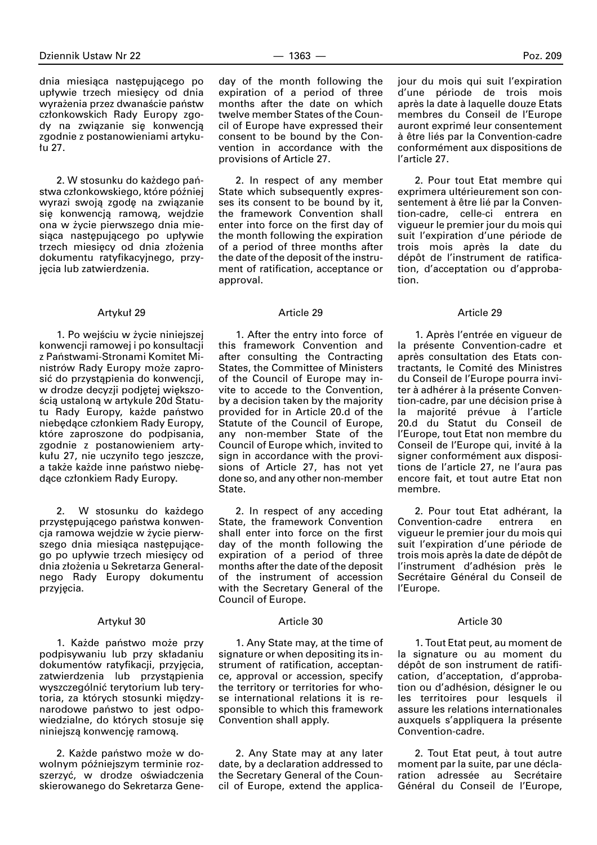dnia miesiąca następującego po upływie trzech miesięcy od dnia wyrażenia przez dwanaście państw członkowskich Rady Europy zgody na związanie się konwencją zgodnie z postanowieniami artyku- ∏u 27.

2. W stosunku do każdego państwa członkowskiego, które później wyrazi swoją zgodę na związanie się konwencją ramową, wejdzie ona w życie pierwszego dnia miesiąca następującego po upływie trzech miesięcy od dnia złożenia dokumentu ratyfikacyjnego, przyjęcia lub zatwierdzenia.

#### Artyku∏ 29

1. Po wejściu w życie niniejszej konwencji ramowej i po konsultacji z Państwami-Stronami Komitet Ministrów Rady Europy może zaprosić do przystąpienia do konwencji, w drodze decyzji podjętej większością ustaloną w artykule 20d Statutu Rady Europy, każde państwo niebędące członkiem Rady Europy, które zaproszone do podpisania, zgodnie z postanowieniem artykułu 27, nie uczyniło tego jeszcze, a także każde inne państwo niebędace członkiem Rady Europy.

2. W stosunku do każdego przystępującego państwa konwencia ramowa wejdzie w życie pierwszego dnia miesiąca następującego po upływie trzech miesiecy od dnia złożenia u Sekretarza Generalnego Rady Europy dokumentu przyjecia.

#### Artyku∏ 30

1. Każde państwo może przy podpisywaniu lub przy składaniu dokumentów ratyfikacji, przyjęcia, zatwierdzenia lub przystąpienia wyszczególniç terytorium lub terytoria, za których stosunki międzynarodowe państwo to jest odpowiedzialne, do których stosuje się niniejszą konwencję ramową.

2. Każde państwo może w dowolnym póêniejszym terminie rozszerzyć, w drodze oświadczenia skierowanego do Sekretarza Geneday of the month following the expiration of a period of three months after the date on which twelve member States of the Council of Europe have expressed their consent to be bound by the Convention in accordance with the provisions of Article 27.

2. In respect of any member State which subsequently expresses its consent to be bound by it, the framework Convention shall enter into force on the first day of the month following the expiration of a period of three months after the date of the deposit of the instrument of ratification, acceptance or approval.

#### Article 29

1. After the entry into force of this framework Convention and after consulting the Contracting States, the Committee of Ministers of the Council of Europe may invite to accede to the Convention, by a decision taken by the majority provided for in Article 20.d of the Statute of the Council of Europe, any non-member State of the Council of Europe which, invited to sign in accordance with the provisions of Article 27, has not yet done so, and any other non-member State.

2. In respect of any acceding State, the framework Convention shall enter into force on the first day of the month following the expiration of a period of three months after the date of the deposit of the instrument of accession with the Secretary General of the Council of Europe.

#### Article 30

1. Any State may, at the time of signature or when depositing its instrument of ratification, acceptance, approval or accession, specify the territory or territories for whose international relations it is responsible to which this framework Convention shall apply.

2. Any State may at any later date, by a declaration addressed to the Secretary General of the Council of Europe, extend the applicajour du mois qui suit l'expiration d'une période de trois mois après la date à laquelle douze Etats membres du Conseil de l'Europe auront exprimé leur consentement à être liés par la Convention-cadre conformément aux dispositions de l'article 27.

2. Pour tout Etat membre qui exprimera ultérieurement son consentement à être lié par la Convention-cadre, celle-ci entrera en vigueur le premier jour du mois qui suit l'expiration d'une période de trois mois après la date du dépôt de l'instrument de ratification, d'acceptation ou d'approbation.

#### Article 29

1. Après l'entrée en vigueur de la présente Convention-cadre et après consultation des Etats contractants, le Comité des Ministres du Conseil de l'Europe pourra inviter à adhérer à la présente Convention-cadre, par une décision prise à la majorité prévue à l'article 20.d du Statut du Conseil de l'Europe, tout Etat non membre du Conseil de l'Europe qui, invité à la signer conformément aux dispositions de l'article 27, ne l'aura pas encore fait, et tout autre Etat non membre.

2. Pour tout Etat adhérant, la<br>
uvention-cadre entrera en Convention-cadre entrera en vigueur le premier jour du mois qui suit l'expiration d'une période de trois mois après la date de dépôt de l'instrument d'adhésion près le Secrétaire Général du Conseil de l'Europe.

#### Article 30

1. Tout Etat peut, au moment de la signature ou au moment du dépôt de son instrument de ratification, d'acceptation, d'approbation ou d'adhésion, désigner le ou les territoires pour lesquels il assure les relations internationales auxquels s'appliquera la présente Convention-cadre.

2. Tout Etat peut, à tout autre moment par la suite, par une déclaration adressée au Secrétaire Général du Conseil de l'Europe,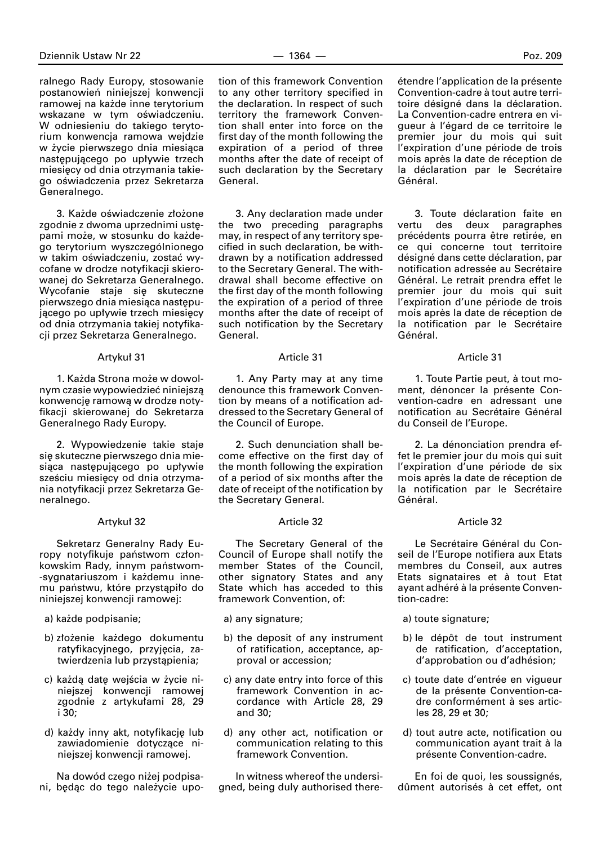ralnego Rady Europy, stosowanie postanowień niniejszej konwencji ramowej na każde inne terytorium wskazane w tym oświadczeniu. W odniesieniu do takiego terytorium konwencja ramowa wejdzie w życie pierwszego dnia miesiąca następującego po upływie trzech miesięcy od dnia otrzymania takiego oświadczenia przez Sekretarza Generalnego.

3. Każde oświadczenie złożone zgodnie z dwoma uprzednimi ustępami może, w stosunku do każdego terytorium wyszczególnionego w takim oświadczeniu, zostać wycofane w drodze notyfikacji skierowanej do Sekretarza Generalnego. Wycofanie staje się skuteczne pierwszego dnia miesiąca następującego po upływie trzech miesięcy od dnia otrzymania takiej notyfikacji przez Sekretarza Generalnego.

### Artykuł 31

1. Każda Strona może w dowolnym czasie wypowiedzieç niniejszà konwencję ramową w drodze notyfikacji skierowanej do Sekretarza Generalnego Rady Europy.

2. Wypowiedzenie takie staje się skuteczne pierwszego dnia miesiąca następującego po upływie sześciu miesięcy od dnia otrzymania notyfikacji przez Sekretarza Generalnego.

# Artyku∏ 32

Sekretarz Generalny Rady Europy notyfikuje państwom członkowskim Rady, innym państwom--sygnatariuszom i każdemu innemu państwu, które przystąpiło do niniejszej konwencji ramowej:

- a) każde podpisanie;
- b) złożenie każdego dokumentu ratyfikacyjnego, przyjęcia, zatwierdzenia lub przystąpienia;
- c) każdą datę wejścia w życie niniejszej konwencji ramowej zgodnie z artykułami 28, 29 i 30;
- d) każdy inny akt, notyfikację lub zawiadomienie dotyczące niniejszej konwencji ramowej.

Na dowód czego niżej podpisani, będąc do tego należycie upotion of this framework Convention to any other territory specified in the declaration. In respect of such territory the framework Convention shall enter into force on the first day of the month following the expiration of a period of three months after the date of receipt of such declaration by the Secretary General.

3. Any declaration made under the two preceding paragraphs may, in respect of any territory specified in such declaration, be withdrawn by a notification addressed to the Secretary General. The withdrawal shall become effective on the first day of the month following the expiration of a period of three months after the date of receipt of such notification by the Secretary General.

# Article 31

1. Any Party may at any time denounce this framework Convention by means of a notification addressed to the Secretary General of the Council of Europe.

2. Such denunciation shall become effective on the first day of the month following the expiration of a period of six months after the date of receipt of the notification by the Secretary General.

### Article 32

The Secretary General of the Council of Europe shall notify the member States of the Council, other signatory States and any State which has acceded to this framework Convention, of:

a) any signature;

- b) the deposit of any instrument of ratification, acceptance, approval or accession;
- c) any date entry into force of this framework Convention in accordance with Article 28, 29 and 30;
- d) any other act, notification or communication relating to this framework Convention.

In witness whereof the undersigned, being duly authorised thereétendre l'application de la présente Convention-cadre à tout autre territoire désigné dans la déclaration. La Convention-cadre entrera en vigueur à l'égard de ce territoire le premier jour du mois qui suit l'expiration d'une période de trois mois après la date de réception de la déclaration par le Secrétaire Général.

3. Toute déclaration faite en vertu des deux paragraphes précédents pourra être retirée, en ce qui concerne tout territoire désigné dans cette déclaration, par notification adressée au Secrétaire Général. Le retrait prendra effet le premier jour du mois qui suit l'expiration d'une période de trois mois après la date de réception de la notification par le Secrétaire Général.

### Article 31

1. Toute Partie peut, à tout moment, dénoncer la présente Convention-cadre en adressant une notification au Secrétaire Général du Conseil de l'Europe.

2. La dénonciation prendra effet le premier jour du mois qui suit l'expiration d'une période de six mois après la date de réception de la notification par le Secrétaire Général.

### Article 32

Le Secrétaire Général du Conseil de l'Europe notifiera aux Etats membres du Conseil, aux autres Etats signataires et à tout Etat ayant adhéré à la présente Convention-cadre:

a) toute signature;

- b) le dépôt de tout instrument de ratification, d'acceptation, d'approbation ou d'adhésion;
- c) toute date d'entrée en vigueur de la présente Convention-cadre conformément à ses articles 28, 29 et 30;
- d) tout autre acte, notification ou communication ayant trait à la présente Convention-cadre.

En foi de quoi, les soussignés, dûment autorisés à cet effet, ont